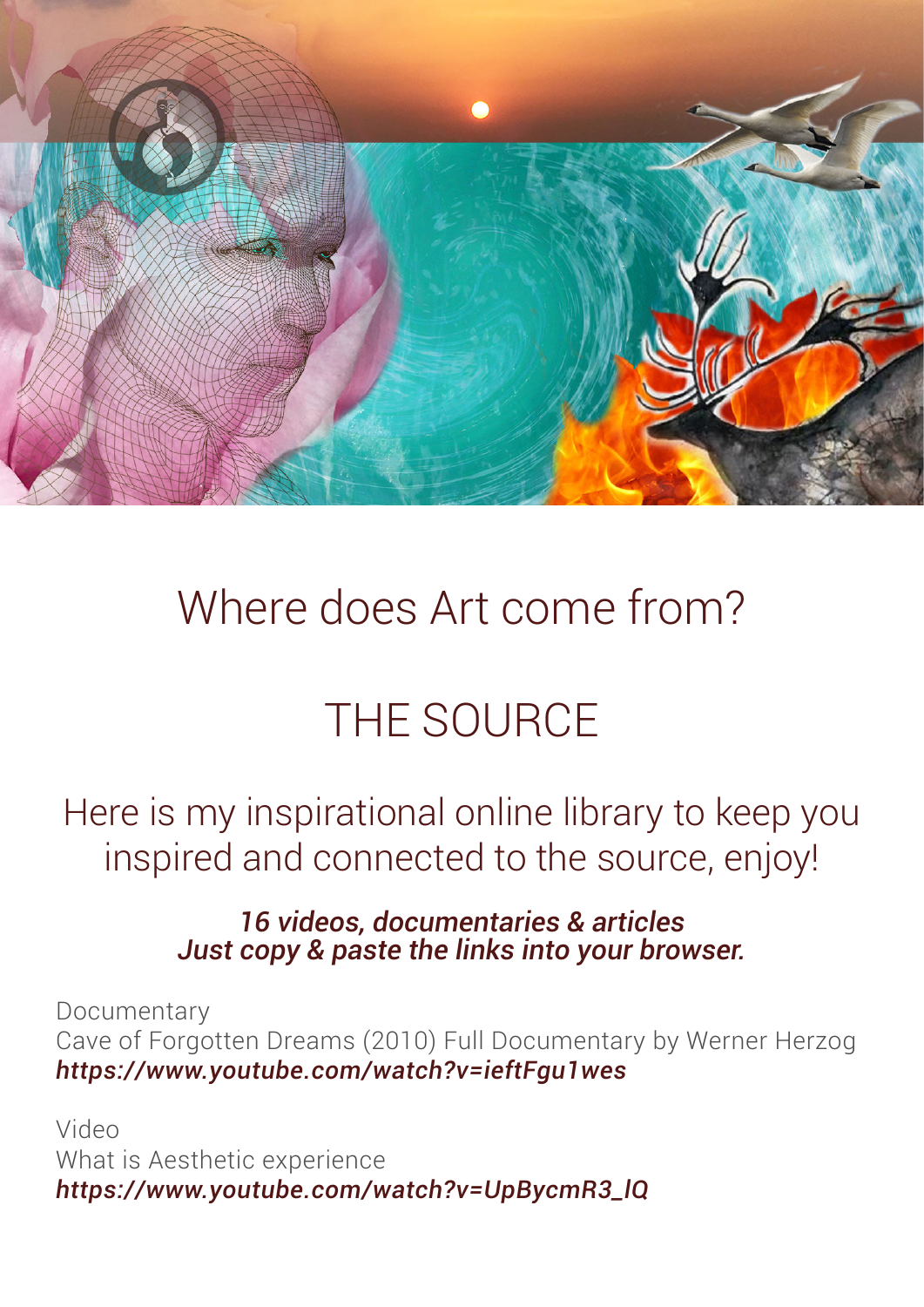

## Where does Art come from?

## THE SOURCE

Here is my inspirational online library to keep you inspired and connected to the source, enjoy!

## *16 videos, documentaries & articles Just copy & paste the links into your browser.*

**Documentary** Cave of Forgotten Dreams (2010) Full Documentary by Werner Herzog *https://www.youtube.com/watch?v=ieftFgu1wes*

Video What is Aesthetic experience *https://www.youtube.com/watch?v=UpBycmR3\_lQ*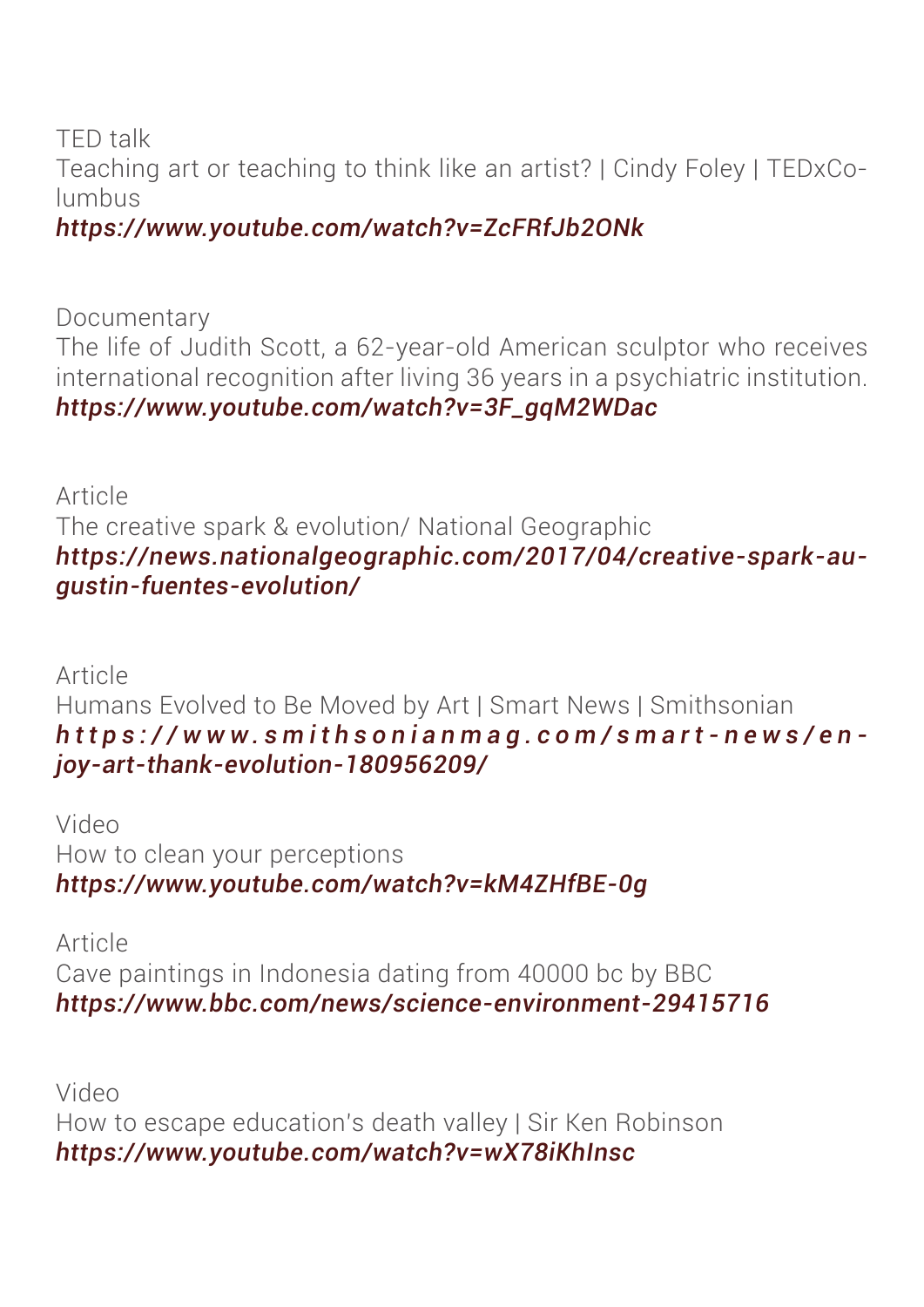TED talk Teaching art or teaching to think like an artist? | Cindy Foley | TEDxColumbus

*https://www.youtube.com/watch?v=ZcFRfJb2ONk*

Documentary The life of Judith Scott, a 62-year-old American sculptor who receives international recognition after living 36 years in a psychiatric institution. *https://www.youtube.com/watch?v=3F\_gqM2WDac*

Article The creative spark & evolution/ National Geographic *https://news.nationalgeographic.com/2017/04/creative-spark-augustin-fuentes-evolution/*

Article Humans Evolved to Be Moved by Art | Smart News | Smithsonian *https://www.smithsonianmag.com/smart-news/en joy-art-thank-evolution-180956209/*

Video How to clean your perceptions *https://www.youtube.com/watch?v=kM4ZHfBE-0g*

Article Cave paintings in Indonesia dating from 40000 bc by BBC *https://www.bbc.com/news/science-environment-29415716*

Video How to escape education's death valley | Sir Ken Robinson *https://www.youtube.com/watch?v=wX78iKhInsc*